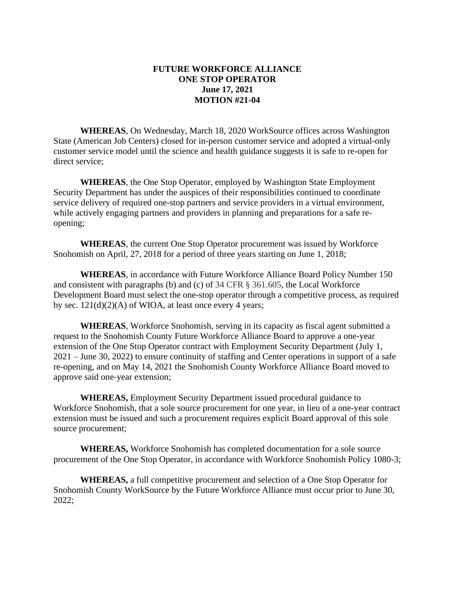## **FUTURE WORKFORCE ALLIANCE ONE STOP OPERATOR June 17, 2021 MOTION #21-04**

**WHEREAS**, On Wednesday, March 18, 2020 WorkSource offices across Washington State (American Job Centers) closed for in-person customer service and adopted a virtual-only customer service model until the science and health guidance suggests it is safe to re-open for direct service;

**WHEREAS**, the One Stop Operator, employed by Washington State Employment Security Department has under the auspices of their responsibilities continued to coordinate service delivery of required one-stop partners and service providers in a virtual environment, while actively engaging partners and providers in planning and preparations for a safe reopening;

**WHEREAS**, the current One Stop Operator procurement was issued by Workforce Snohomish on April, 27, 2018 for a period of three years starting on June 1, 2018;

**WHEREAS**, in accordance with Future Workforce Alliance Board Policy Number 150 and consistent with paragraphs (b) and (c) of 34 CFR § 361.605, the Local Workforce Development Board must select the one-stop operator through a competitive process, as required by sec.  $121(d)(2)(A)$  of WIOA, at least once every 4 years;

**WHEREAS**, Workforce Snohomish, serving in its capacity as fiscal agent submitted a request to the Snohomish County Future Workforce Alliance Board to approve a one-year extension of the One Stop Operator contract with Employment Security Department (July 1, 2021 – June 30, 2022) to ensure continuity of staffing and Center operations in support of a safe re-opening, and on May 14, 2021 the Snohomish County Workforce Alliance Board moved to approve said one-year extension;

**WHEREAS,** Employment Security Department issued procedural guidance to Workforce Snohomish, that a sole source procurement for one year, in lieu of a one-year contract extension must be issued and such a procurement requires explicit Board approval of this sole source procurement;

**WHEREAS,** Workforce Snohomish has completed documentation for a sole source procurement of the One Stop Operator, in accordance with Workforce Snohomish Policy 1080-3;

**WHEREAS,** a full competitive procurement and selection of a One Stop Operator for Snohomish County WorkSource by the Future Workforce Alliance must occur prior to June 30, 2022;